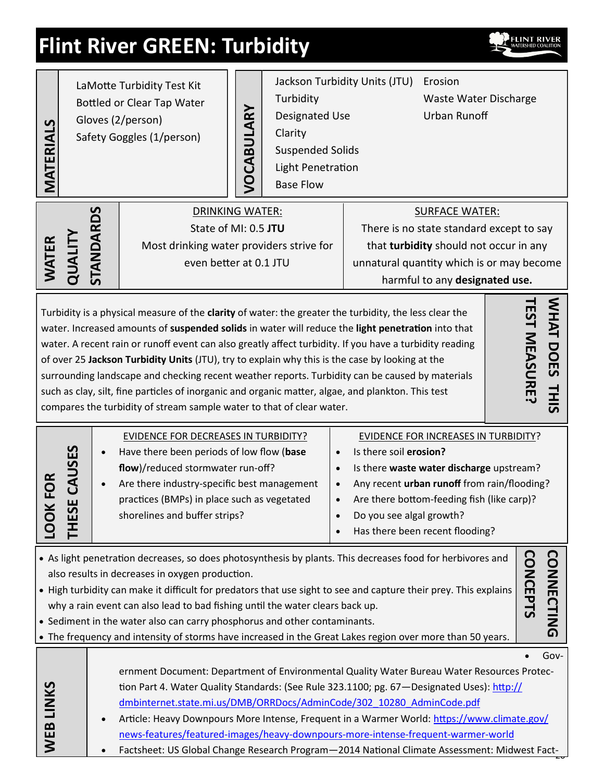# **Flint River GREEN: Turbidity**



| MATERIALS                                                                                                                                                                                                                                                                                                                                                                                                                                                                                                                                                                                                                                                                                                                                                     | LaMotte Turbidity Test Kit<br>Bottled or Clear Tap Water<br>Gloves (2/person)<br>Safety Goggles (1/person) |  |                                                                                                                                                                                                                                                                                                                                                                                                                                                                                                                                                      | <b>/OCABULARY</b> | Turbidity<br>Designated Use<br>Clarity<br><b>Suspended Solids</b><br>Light Penetration<br><b>Base Flow</b>                                                                                 | Jackson Turbidity Units (JTU)                      | Erosion<br>Waste Water Discharge<br><b>Urban Runoff</b>                                                                                                                                                                 |                   |
|---------------------------------------------------------------------------------------------------------------------------------------------------------------------------------------------------------------------------------------------------------------------------------------------------------------------------------------------------------------------------------------------------------------------------------------------------------------------------------------------------------------------------------------------------------------------------------------------------------------------------------------------------------------------------------------------------------------------------------------------------------------|------------------------------------------------------------------------------------------------------------|--|------------------------------------------------------------------------------------------------------------------------------------------------------------------------------------------------------------------------------------------------------------------------------------------------------------------------------------------------------------------------------------------------------------------------------------------------------------------------------------------------------------------------------------------------------|-------------------|--------------------------------------------------------------------------------------------------------------------------------------------------------------------------------------------|----------------------------------------------------|-------------------------------------------------------------------------------------------------------------------------------------------------------------------------------------------------------------------------|-------------------|
| WATER                                                                                                                                                                                                                                                                                                                                                                                                                                                                                                                                                                                                                                                                                                                                                         | STANDARDS<br><b>QUALIT</b>                                                                                 |  | <b>DRINKING WATER:</b><br>State of MI: 0.5 JTU<br>Most drinking water providers strive for<br>even better at 0.1 JTU                                                                                                                                                                                                                                                                                                                                                                                                                                 |                   | <b>SURFACE WATER:</b><br>There is no state standard except to say<br>that turbidity should not occur in any<br>unnatural quantity which is or may become<br>harmful to any designated use. |                                                    |                                                                                                                                                                                                                         |                   |
| WHAT DOES<br><b>EST MEASURE</b><br>Turbidity is a physical measure of the clarity of water: the greater the turbidity, the less clear the<br>water. Increased amounts of suspended solids in water will reduce the light penetration into that<br>water. A recent rain or runoff event can also greatly affect turbidity. If you have a turbidity reading<br>of over 25 Jackson Turbidity Units (JTU), try to explain why this is the case by looking at the<br>surrounding landscape and checking recent weather reports. Turbidity can be caused by materials<br><b>THIS</b><br>such as clay, silt, fine particles of inorganic and organic matter, algae, and plankton. This test<br>compares the turbidity of stream sample water to that of clear water. |                                                                                                            |  |                                                                                                                                                                                                                                                                                                                                                                                                                                                                                                                                                      |                   |                                                                                                                                                                                            |                                                    |                                                                                                                                                                                                                         |                   |
| O                                                                                                                                                                                                                                                                                                                                                                                                                                                                                                                                                                                                                                                                                                                                                             | $\overline{\mathbf{E}}$<br>ᅚ                                                                               |  | <b>EVIDENCE FOR DECREASES IN TURBIDITY?</b><br>Have there been periods of low flow (base<br>flow)/reduced stormwater run-off?<br>Are there industry-specific best management<br>practices (BMPs) in place such as vegetated<br>shorelines and buffer strips?                                                                                                                                                                                                                                                                                         |                   | $\bullet$<br>$\bullet$<br>$\bullet$<br>$\bullet$                                                                                                                                           | Is there soil erosion?<br>Do you see algal growth? | <b>EVIDENCE FOR INCREASES IN TURBIDITY?</b><br>Is there waste water discharge upstream?<br>Any recent urban runoff from rain/flooding?<br>Are there bottom-feeding fish (like carp)?<br>Has there been recent flooding? |                   |
| <b>CONNECTING</b><br><b>CONCEPTS</b><br>• As light penetration decreases, so does photosynthesis by plants. This decreases food for herbivores and<br>also results in decreases in oxygen production.<br>• High turbidity can make it difficult for predators that use sight to see and capture their prey. This explains<br>why a rain event can also lead to bad fishing until the water clears back up.<br>• Sediment in the water also can carry phosphorus and other contaminants.<br>• The frequency and intensity of storms have increased in the Great Lakes region over more than 50 years.                                                                                                                                                          |                                                                                                            |  |                                                                                                                                                                                                                                                                                                                                                                                                                                                                                                                                                      |                   |                                                                                                                                                                                            |                                                    |                                                                                                                                                                                                                         |                   |
| WEB LINKS                                                                                                                                                                                                                                                                                                                                                                                                                                                                                                                                                                                                                                                                                                                                                     |                                                                                                            |  | ernment Document: Department of Environmental Quality Water Bureau Water Resources Protec-<br>tion Part 4. Water Quality Standards: (See Rule 323.1100; pg. 67-Designated Uses): http://<br>dmbinternet.state.mi.us/DMB/ORRDocs/AdminCode/302_10280_AdminCode.pdf<br>Article: Heavy Downpours More Intense, Frequent in a Warmer World: https://www.climate.gov/<br>news-features/featured-images/heavy-downpours-more-intense-frequent-warmer-world<br>Factsheet: US Global Change Research Program-2014 National Climate Assessment: Midwest Fact- |                   |                                                                                                                                                                                            |                                                    |                                                                                                                                                                                                                         | Gov-<br>$\bullet$ |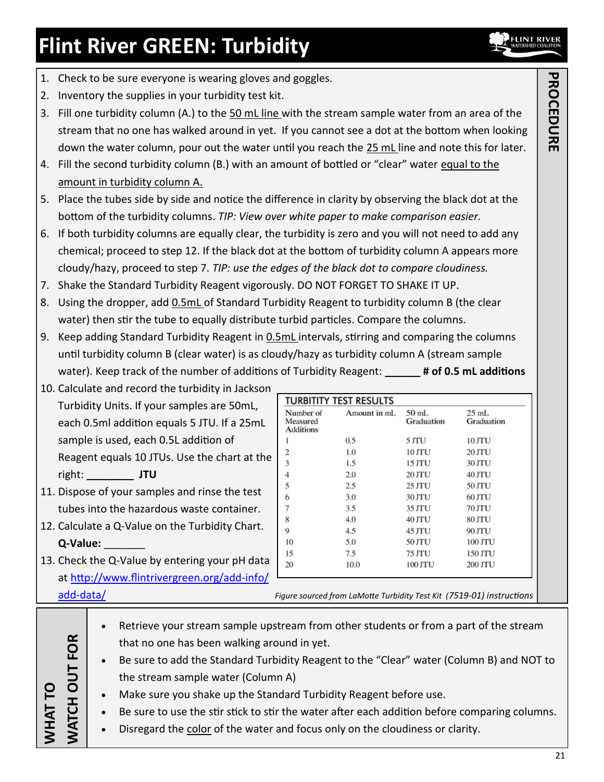## **Flint River GREEN: Turbidity**

- 1. Check to be sure everyone is wearing gloves and goggles.
- 2. Inventory the supplies in your turbidity test kit.
- 3. Fill one turbidity column (A.) to the 50 mL line with the stream sample water from an area of the stream that no one has walked around in yet. If you cannot see a dot at the bottom when looking down the water column, pour out the water until you reach the 25 mL line and note this for later.
- 4. Fill the second turbidity column (B.) with an amount of bottled or "clear" water equal to the amount in turbidity column A.
- 5. Place the tubes side by side and notice the difference in clarity by observing the black dot at the bottom of the turbidity columns. *TIP: View over white paper to make comparison easier.*
- 6. If both turbidity columns are equally clear, the turbidity is zero and you will not need to add any chemical; proceed to step 12. If the black dot at the bottom of turbidity column A appears more cloudy/hazy, proceed to step 7. *TIP: use the edges of the black dot to compare cloudiness.*
- 7. Shake the Standard Turbidity Reagent vigorously. DO NOT FORGET TO SHAKE IT UP.
- 8. Using the dropper, add 0.5mL of Standard Turbidity Reagent to turbidity column B (the clear water) then stir the tube to equally distribute turbid particles. Compare the columns.
- 9. Keep adding Standard Turbidity Reagent in **0.5mL** intervals, stirring and comparing the columns until turbidity column B (clear water) is as cloudy/hazy as turbidity column A (stream sample water). Keep track of the number of additions of Turbidity Reagent: **# of 0.5 mL additions**

Number of

Measured

Additions  $\mathbf{1}$ 

 $\overline{2}$ 

3

 $\overline{4}$ 

5

6

7

8

 $\overline{Q}$ 

10

15

20

**TURBITITY TEST RESULTS** 

 $0.5$ 

1.0

1.5

2.0

 $2.5$ 

3.0

 $3.5$ 

4.0

 $4.5$ 

5.0

 $7.5$ 

10.0

Amount in mL

50 mL

5 JTU

10 JTU

15 JTU

20 JTU

25 JTU

30 JTU

35 JTU

40 JTU

45 JTU

50 JTU

75 JTU

100 JTU

Graduation

25 mL

10 JTU

20 JTU

30 JTU

40 JTU

50 JTU

60 JTU

70 JTU

80 JTU

90 JTU

100 JTU

150 JTU

200 JTU

Graduation

| 10. Calculate and record the turbidity in Jackson |
|---------------------------------------------------|
| Turbidity Units. If your samples are 50mL,        |
| each 0.5ml addition equals 5 JTU. If a 25mL       |
| sample is used, each 0.5L addition of             |
| Reagent equals 10 JTUs. Use the chart at the      |
| right:<br>JTU                                     |

- 11. Dispose of your samples and rinse the test tubes into the hazardous waste container.
- 12. Calculate a Q-Value on the Turbidity Chart. **Q-Value:** \_\_\_\_\_\_\_
- 13. Check the Q-Value by entering your pH data at [http://www.flintrivergreen.org/add](http://www.flintrivergreen.org/add-info/add-data/)-info/

| add-data/ | Figure sourced from LaMotte Turbidity Test Kit (7519-01) instructions |  |
|-----------|-----------------------------------------------------------------------|--|
|-----------|-----------------------------------------------------------------------|--|

|                      |           | Retrieve your stream sample upstream from other students or from a part of the stream         |
|----------------------|-----------|-----------------------------------------------------------------------------------------------|
| <b>FOR</b>           |           | that no one has been walking around in yet.                                                   |
|                      | $\bullet$ | Be sure to add the Standard Turbidity Reagent to the "Clear" water (Column B) and NOT to      |
| $\overline{5}$<br>ō  |           | the stream sample water (Column A)                                                            |
|                      |           | Make sure you shake up the Standard Turbidity Reagent before use.                             |
|                      |           | Be sure to use the stir stick to stir the water after each addition before comparing columns. |
| <b>THAT<br/>JATC</b> |           | Disregard the color of the water and focus only on the cloudiness or clarity.                 |
|                      |           |                                                                                               |

# **PROCEDURE PROCEDURE**